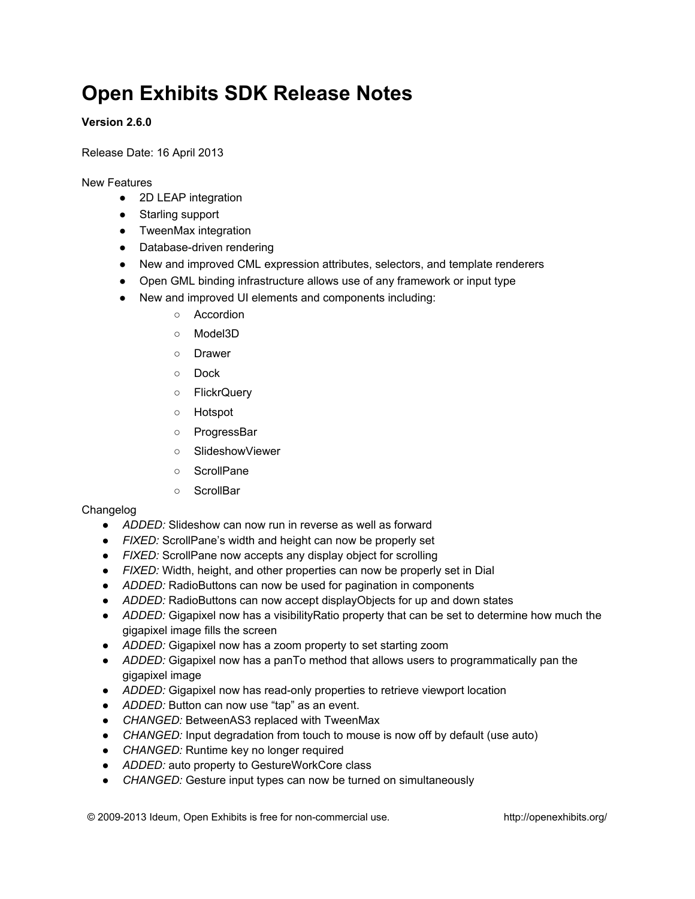# **Open Exhibits SDK Release Notes**

# **Version 2.6.0**

Release Date: 16 April 2013

New Features

- 2D LEAP integration
- Starling support
- TweenMax integration
- Database-driven rendering
- New and improved CML expression attributes, selectors, and template renderers
- Open GML binding infrastructure allows use of any framework or input type
- New and improved UI elements and components including:
	- Accordion
	- Model3D
	- Drawer
	- Dock
	- FlickrQuery
	- Hotspot
	- ProgressBar
	- SlideshowViewer
	- ScrollPane
	- ScrollBar

## Changelog

- *ADDED:* Slideshow can now run in reverse as well as forward
- *FIXED:* ScrollPane's width and height can now be properly set
- *FIXED:* ScrollPane now accepts any display object for scrolling
- *FIXED:* Width, height, and other properties can now be properly set in Dial
- *ADDED:* RadioButtons can now be used for pagination in components
- *ADDED:* RadioButtons can now accept displayObjects for up and down states
- *ADDED:* Gigapixel now has a visibilityRatio property that can be set to determine how much the gigapixel image fills the screen
- *ADDED:* Gigapixel now has a zoom property to set starting zoom
- *ADDED:* Gigapixel now has a panTo method that allows users to programmatically pan the gigapixel image
- *ADDED:* Gigapixel now has read-only properties to retrieve viewport location
- *ADDED:* Button can now use "tap" as an event.
- *CHANGED:* BetweenAS3 replaced with TweenMax
- *CHANGED:* Input degradation from touch to mouse is now off by default (use auto)
- *CHANGED:* Runtime key no longer required
- *ADDED:* auto property to GestureWorkCore class
- *CHANGED:* Gesture input types can now be turned on simultaneously

© 2009-2013 Ideum, Open Exhibits is free for non-commercial use. <http://openexhibits.org/>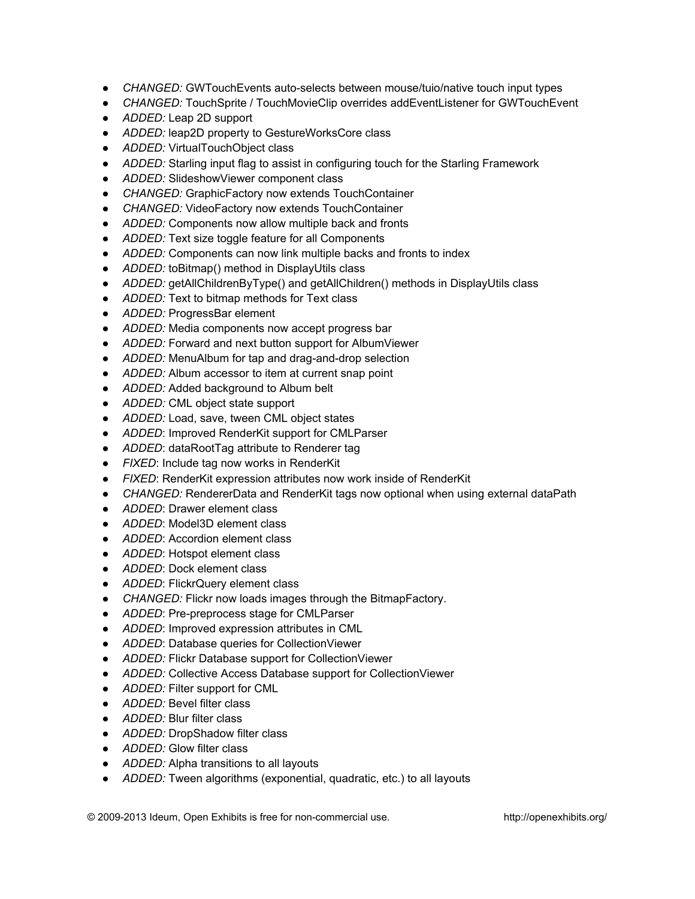- *CHANGED:* GWTouchEvents auto-selects between mouse/tuio/native touch input types
- *CHANGED:* TouchSprite / TouchMovieClip overrides addEventListener for GWTouchEvent
- *ADDED:* Leap 2D support
- *ADDED:* leap2D property to GestureWorksCore class
- *ADDED:* VirtualTouchObject class
- *ADDED:* Starling input flag to assist in configuring touch for the Starling Framework
- *ADDED:* SlideshowViewer component class
- *CHANGED:* GraphicFactory now extends TouchContainer
- *CHANGED:* VideoFactory now extends TouchContainer
- *ADDED:* Components now allow multiple back and fronts
- *ADDED:* Text size toggle feature for all Components
- *ADDED:* Components can now link multiple backs and fronts to index
- *ADDED:* toBitmap() method in DisplayUtils class
- *ADDED:* getAllChildrenByType() and getAllChildren() methods in DisplayUtils class
- *ADDED:* Text to bitmap methods for Text class
- *ADDED:* ProgressBar element
- *ADDED:* Media components now accept progress bar
- *ADDED:* Forward and next button support for AlbumViewer
- *ADDED:* MenuAlbum for tap and drag-and-drop selection
- *ADDED:* Album accessor to item at current snap point
- *ADDED:* Added background to Album belt
- *ADDED:* CML object state support
- *ADDED:* Load, save, tween CML object states
- *ADDED*: Improved RenderKit support for CMLParser
- *ADDED*: dataRootTag attribute to Renderer tag
- *FIXED*: Include tag now works in RenderKit
- *FIXED*: RenderKit expression attributes now work inside of RenderKit
- CHANGED: RendererData and RenderKit tags now optional when using external dataPath
- *ADDED*: Drawer element class
- *ADDED*: Model3D element class
- *ADDED*: Accordion element class
- *ADDED*: Hotspot element class
- *ADDED*: Dock element class
- *ADDED*: FlickrQuery element class
- *CHANGED:* Flickr now loads images through the BitmapFactory.
- *ADDED*: Pre-preprocess stage for CMLParser
- *ADDED*: Improved expression attributes in CML
- *ADDED*: Database queries for CollectionViewer
- *ADDED:* Flickr Database support for CollectionViewer
- *ADDED:* Collective Access Database support for CollectionViewer
- *ADDED:* Filter support for CML
- *ADDED:* Bevel filter class
- *ADDED:* Blur filter class
- *ADDED:* DropShadow filter class
- *ADDED:* Glow filter class
- *ADDED:* Alpha transitions to all layouts
- *ADDED:* Tween algorithms (exponential, quadratic, etc.) to all layouts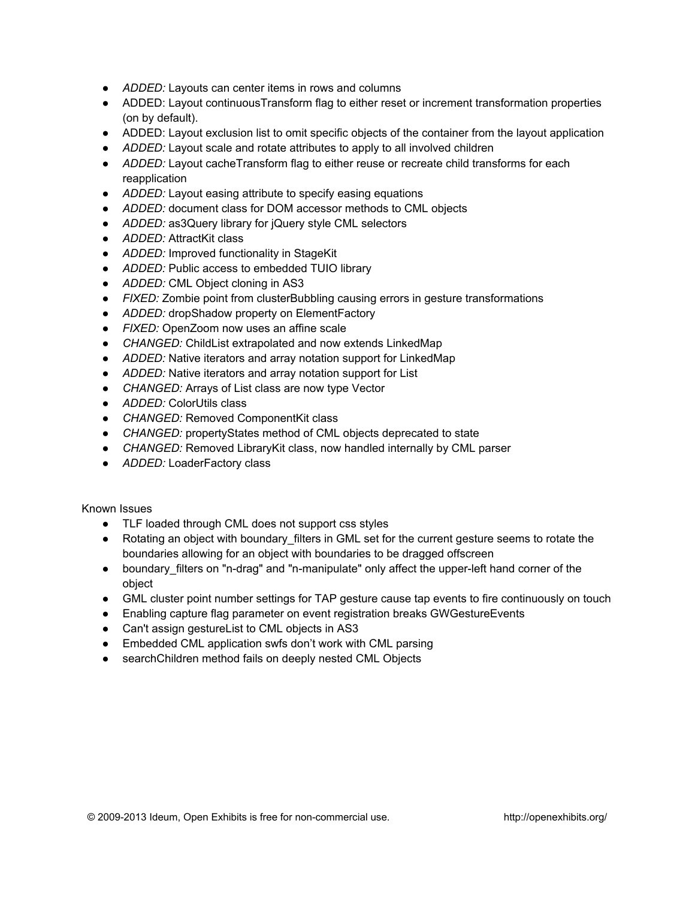- *ADDED:* Layouts can center items in rows and columns
- ADDED: Layout continuousTransform flag to either reset or increment transformation properties (on by default).
- ADDED: Layout exclusion list to omit specific objects of the container from the layout application
- *ADDED:* Layout scale and rotate attributes to apply to all involved children
- *ADDED:* Layout cacheTransform flag to either reuse or recreate child transforms for each reapplication
- *ADDED:* Layout easing attribute to specify easing equations
- *ADDED:* document class for DOM accessor methods to CML objects
- *ADDED:* as3Query library for jQuery style CML selectors
- *ADDED:* AttractKit class
- *ADDED:* Improved functionality in StageKit
- *ADDED:* Public access to embedded TUIO library
- *ADDED:* CML Object cloning in AS3
- *FIXED:* Zombie point from clusterBubbling causing errors in gesture transformations
- *ADDED:* dropShadow property on ElementFactory
- *FIXED:* OpenZoom now uses an affine scale
- *CHANGED:* ChildList extrapolated and now extends LinkedMap
- *ADDED:* Native iterators and array notation support for LinkedMap
- *ADDED:* Native iterators and array notation support for List
- *CHANGED:* Arrays of List class are now type Vector
- *ADDED:* ColorUtils class
- *CHANGED:* Removed ComponentKit class
- *CHANGED:* propertyStates method of CML objects deprecated to state
- *CHANGED:* Removed LibraryKit class, now handled internally by CML parser
- *ADDED:* LoaderFactory class

Known Issues

- TLF loaded through CML does not support css styles
- Rotating an object with boundary filters in GML set for the current gesture seems to rotate the boundaries allowing for an object with boundaries to be dragged offscreen
- boundary filters on "n-drag" and "n-manipulate" only affect the upper-left hand corner of the object
- GML cluster point number settings for TAP gesture cause tap events to fire continuously on touch
- Enabling capture flag parameter on event registration breaks GWGestureEvents
- Can't assign gestureList to CML objects in AS3
- Embedded CML application swfs don't work with CML parsing
- searchChildren method fails on deeply nested CML Objects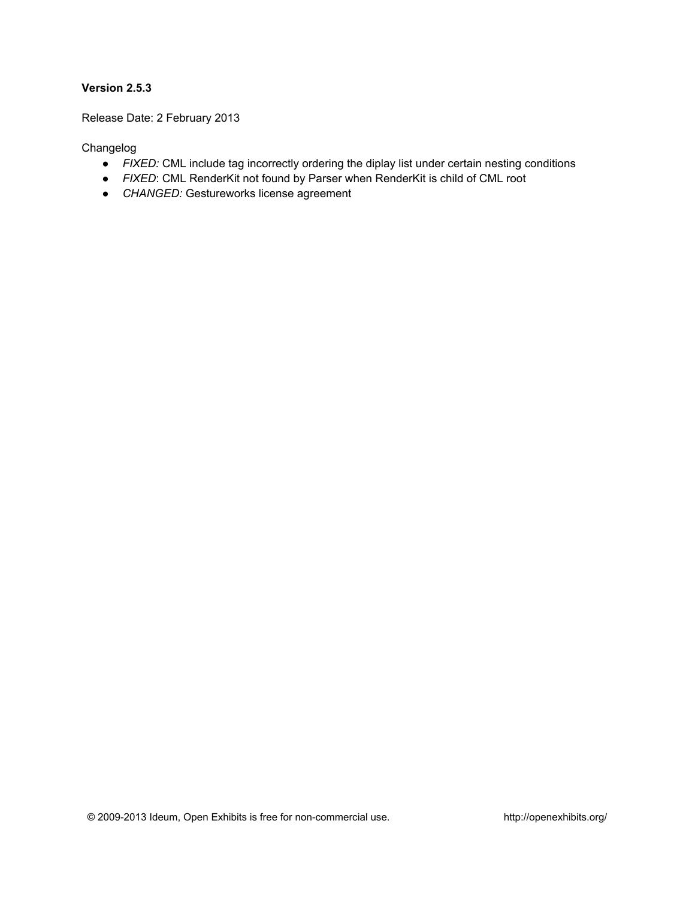Release Date: 2 February 2013

- *FIXED:* CML include tag incorrectly ordering the diplay list under certain nesting conditions
- *FIXED*: CML RenderKit not found by Parser when RenderKit is child of CML root
- *CHANGED:* Gestureworks license agreement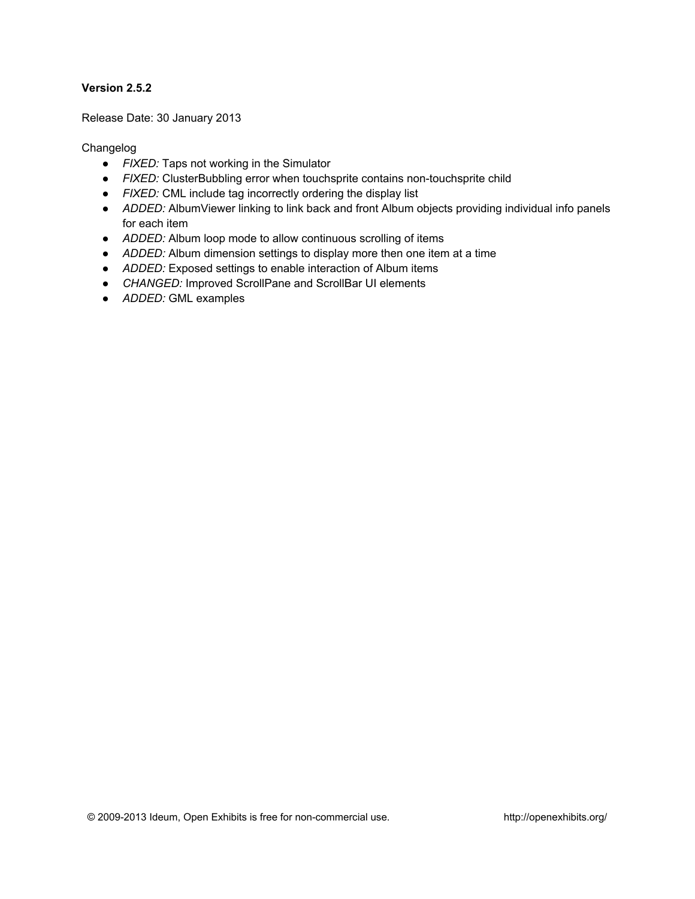Release Date: 30 January 2013

- *FIXED:* Taps not working in the Simulator
- *FIXED:* ClusterBubbling error when touchsprite contains non-touchsprite child
- *FIXED:* CML include tag incorrectly ordering the display list
- *ADDED:* AlbumViewer linking to link back and front Album objects providing individual info panels for each item
- *ADDED:* Album loop mode to allow continuous scrolling of items
- *ADDED:* Album dimension settings to display more then one item at a time
- *ADDED:* Exposed settings to enable interaction of Album items
- *CHANGED:* Improved ScrollPane and ScrollBar UI elements
- *ADDED:* GML examples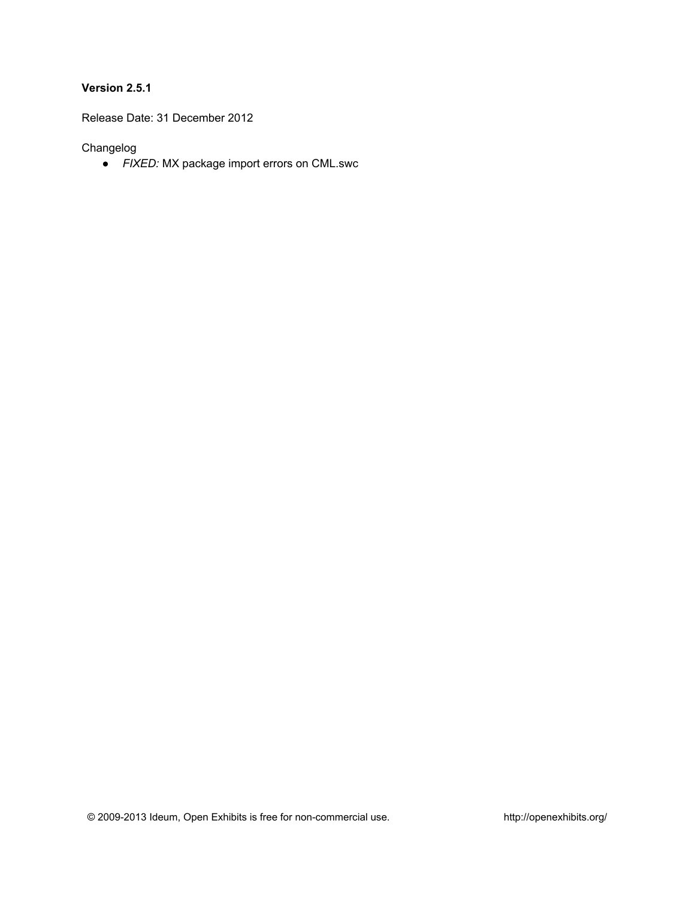Release Date: 31 December 2012

Changelog

● *FIXED:* MX package import errors on CML.swc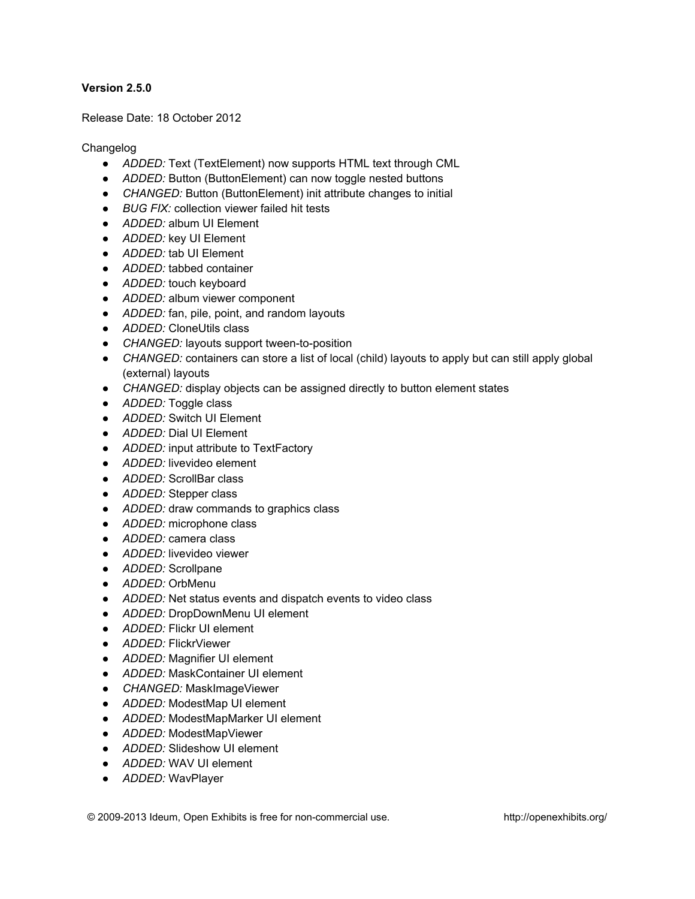Release Date: 18 October 2012

- *ADDED:* Text (TextElement) now supports HTML text through CML
- *ADDED:* Button (ButtonElement) can now toggle nested buttons
- *CHANGED:* Button (ButtonElement) init attribute changes to initial
- *BUG FIX:* collection viewer failed hit tests
- *ADDED:* album UI Element
- *ADDED:* key UI Element
- *ADDED:* tab UI Element
- *ADDED:* tabbed container
- *ADDED:* touch keyboard
- *ADDED:* album viewer component
- *ADDED:* fan, pile, point, and random layouts
- *ADDED:* CloneUtils class
- *CHANGED:* layouts support tween-to-position
- *CHANGED:* containers can store a list of local (child) layouts to apply but can still apply global (external) layouts
- *CHANGED:* display objects can be assigned directly to button element states
- *ADDED:* Toggle class
- *ADDED:* Switch UI Element
- *ADDED:* Dial UI Element
- *ADDED:* input attribute to TextFactory
- *ADDED:* livevideo element
- *ADDED:* ScrollBar class
- *ADDED:* Stepper class
- *ADDED:* draw commands to graphics class
- *ADDED:* microphone class
- *ADDED:* camera class
- *ADDED:* livevideo viewer
- *ADDED:* Scrollpane
- *ADDED:* OrbMenu
- *ADDED:* Net status events and dispatch events to video class
- *ADDED:* DropDownMenu UI element
- *ADDED:* Flickr UI element
- *ADDED:* FlickrViewer
- *ADDED:* Magnifier UI element
- *ADDED:* MaskContainer UI element
- *CHANGED:* MaskImageViewer
- *ADDED:* ModestMap UI element
- *ADDED:* ModestMapMarker UI element
- *ADDED:* ModestMapViewer
- *ADDED:* Slideshow UI element
- *ADDED:* WAV UI element
- *ADDED:* WavPlayer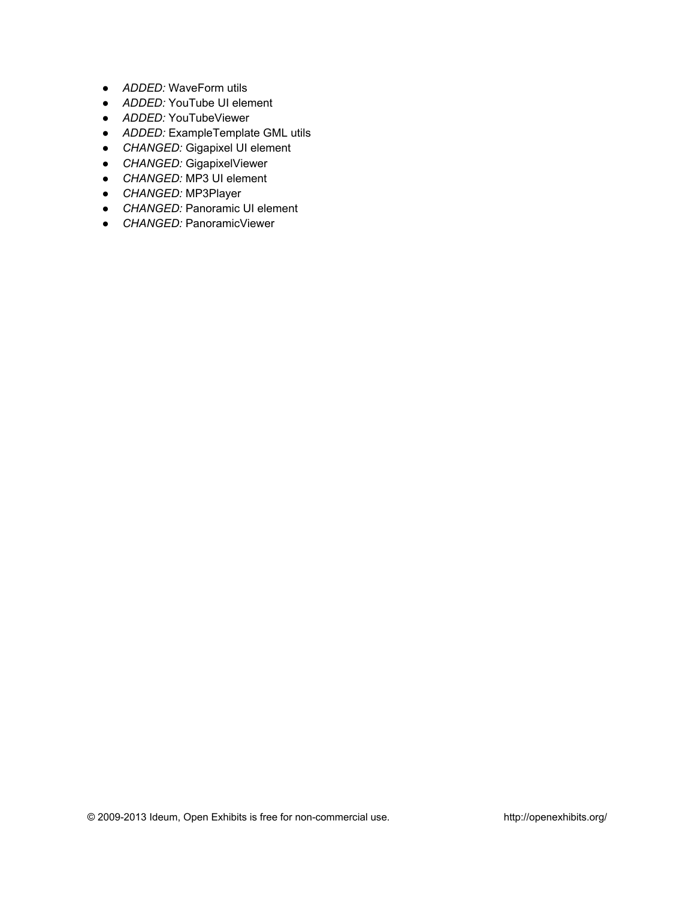- *ADDED:* WaveForm utils
- *ADDED:* YouTube UI element
- *ADDED:* YouTubeViewer
- *ADDED:* ExampleTemplate GML utils
- *CHANGED:* Gigapixel UI element
- *CHANGED:* GigapixelViewer
- *CHANGED:* MP3 UI element
- *CHANGED:* MP3Player
- *CHANGED:* Panoramic UI element
- *CHANGED:* PanoramicViewer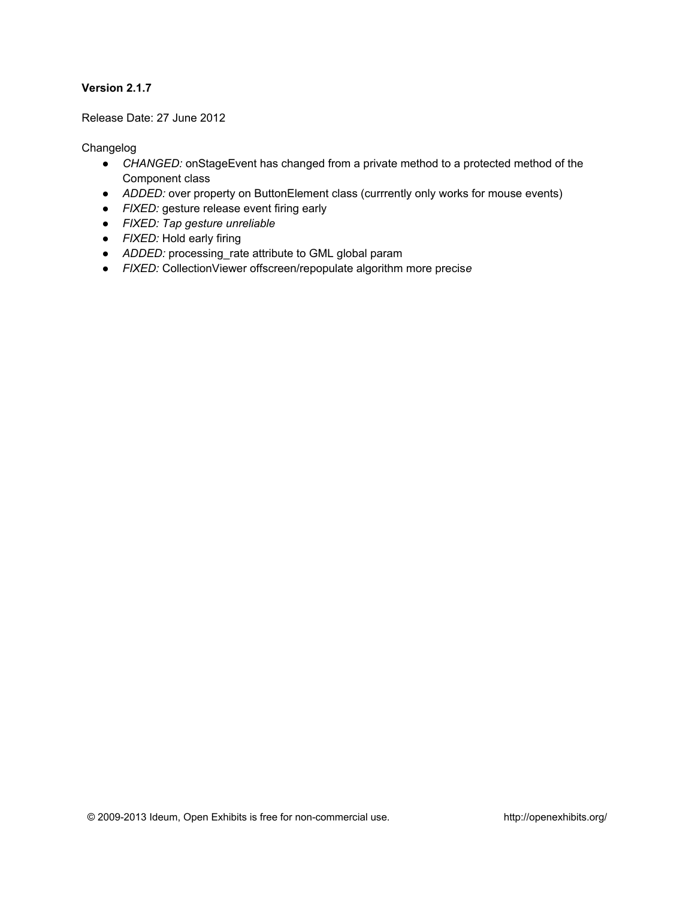Release Date: 27 June 2012

- *CHANGED:* onStageEvent has changed from a private method to a protected method of the Component class
- *ADDED:* over property on ButtonElement class (currrently only works for mouse events)
- *FIXED:* gesture release event firing early
- *FIXED: Tap gesture unreliable*
- *FIXED:* Hold early firing
- *ADDED:* processing\_rate attribute to GML global param
- *FIXED:* CollectionViewer offscreen/repopulate algorithm more precis*e*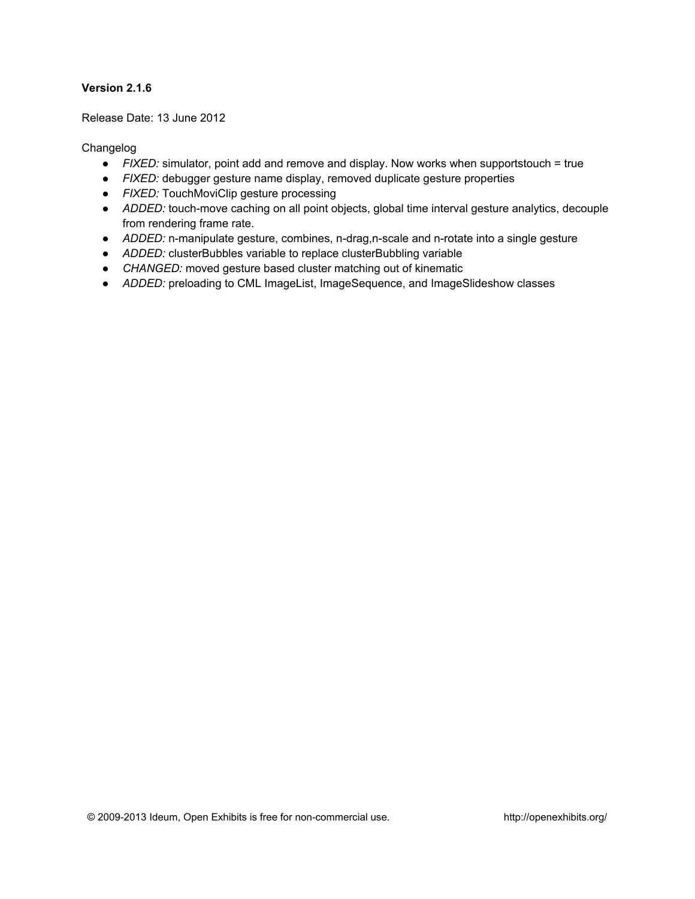Release Date: 13 June 2012

- *FIXED:* simulator, point add and remove and display. Now works when supportstouch = true
- *FIXED:* debugger gesture name display, removed duplicate gesture properties
- *FIXED:* TouchMoviClip gesture processing
- *ADDED:* touch-move caching on all point objects, global time interval gesture analytics, decouple from rendering frame rate.
- *ADDED:* n-manipulate gesture, combines, n-drag,n-scale and n-rotate into a single gesture
- *ADDED:* clusterBubbles variable to replace clusterBubbling variable
- *CHANGED:* moved gesture based cluster matching out of kinematic
- *ADDED:* preloading to CML ImageList, ImageSequence, and ImageSlideshow classes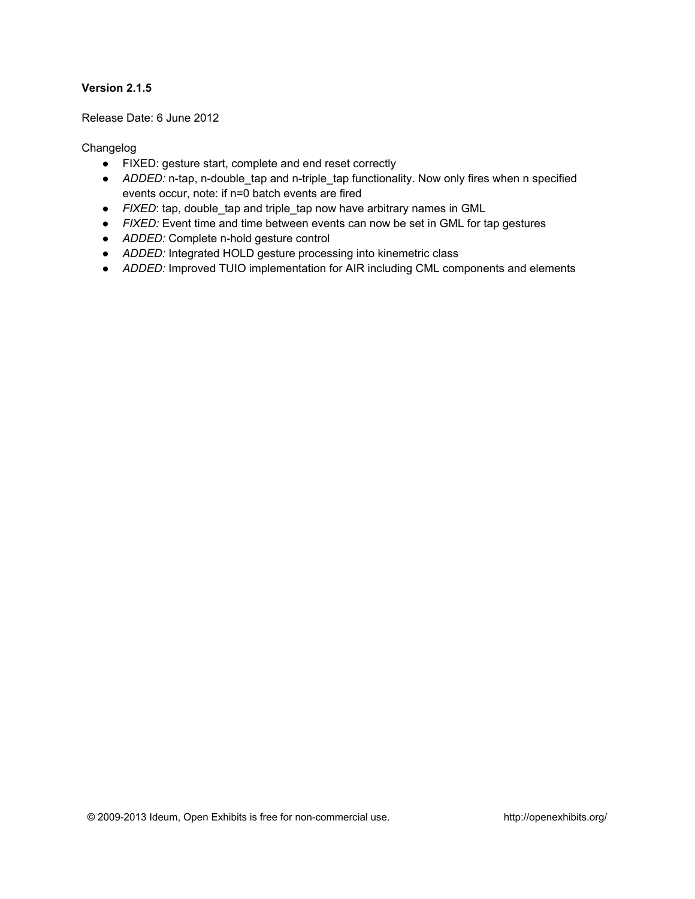Release Date: 6 June 2012

- FIXED: gesture start, complete and end reset correctly
- *ADDED:* n-tap, n-double\_tap and n-triple\_tap functionality. Now only fires when n specified events occur, note: if n=0 batch events are fired
- *FIXED*: tap, double tap and triple tap now have arbitrary names in GML
- *FIXED:* Event time and time between events can now be set in GML for tap gestures
- *ADDED:* Complete n-hold gesture control
- *ADDED:* Integrated HOLD gesture processing into kinemetric class
- *ADDED:* Improved TUIO implementation for AIR including CML components and elements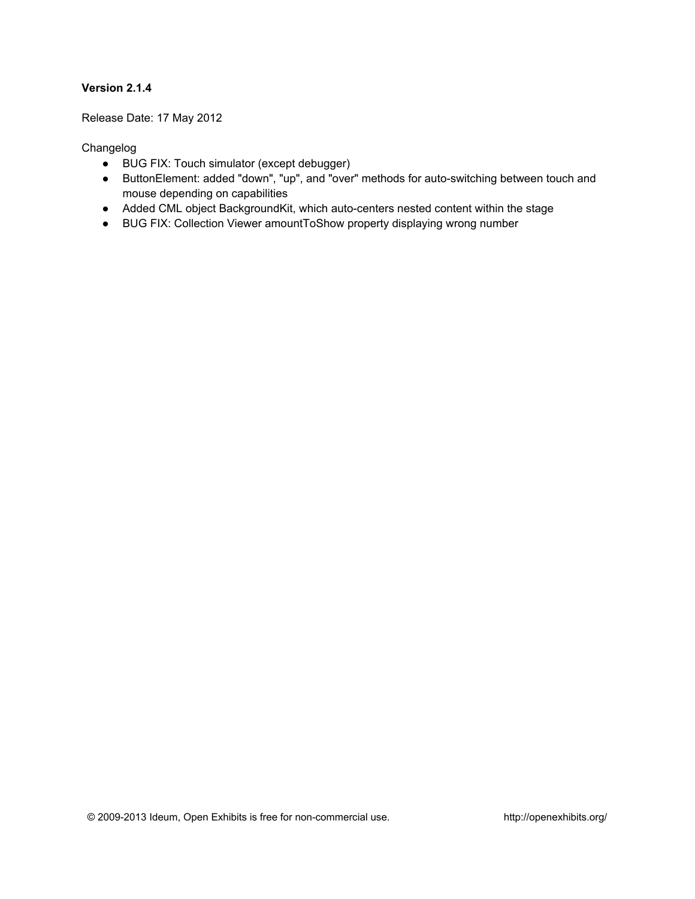Release Date: 17 May 2012

- BUG FIX: Touch simulator (except debugger)
- ButtonElement: added "down", "up", and "over" methods for auto-switching between touch and mouse depending on capabilities
- Added CML object BackgroundKit, which auto-centers nested content within the stage
- BUG FIX: Collection Viewer amountToShow property displaying wrong number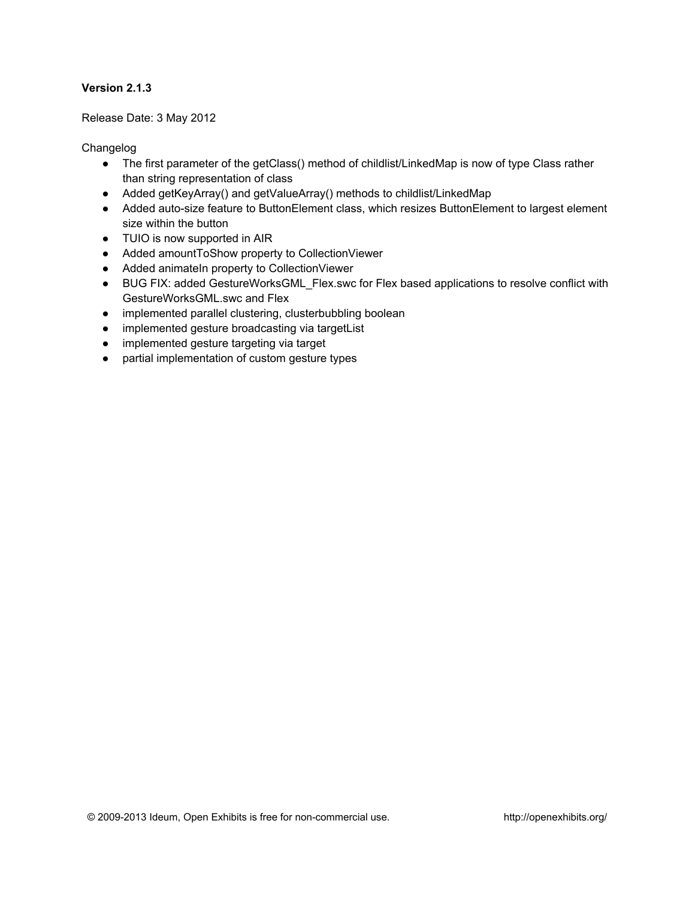#### Release Date: 3 May 2012

- The first parameter of the getClass() method of childlist/LinkedMap is now of type Class rather than string representation of class
- Added getKeyArray() and getValueArray() methods to childlist/LinkedMap
- Added auto-size feature to ButtonElement class, which resizes ButtonElement to largest element size within the button
- TUIO is now supported in AIR
- Added amountToShow property to CollectionViewer
- Added animateIn property to CollectionViewer
- BUG FIX: added GestureWorksGML\_Flex.swc for Flex based applications to resolve conflict with GestureWorksGML.swc and Flex
- implemented parallel clustering, clusterbubbling boolean
- implemented gesture broadcasting via targetList
- implemented gesture targeting via target
- partial implementation of custom gesture types